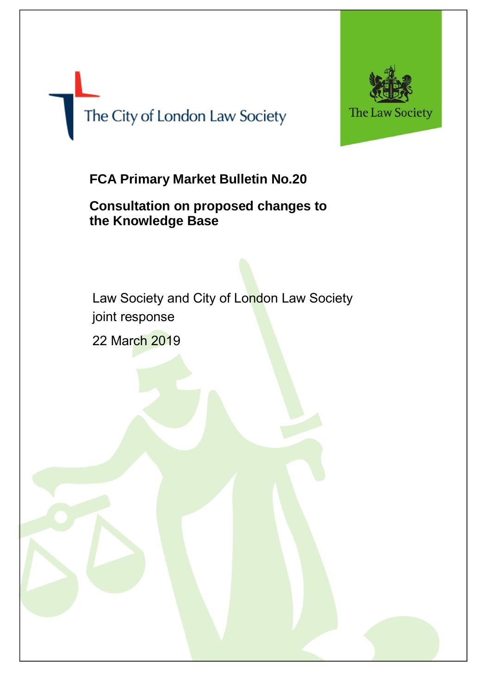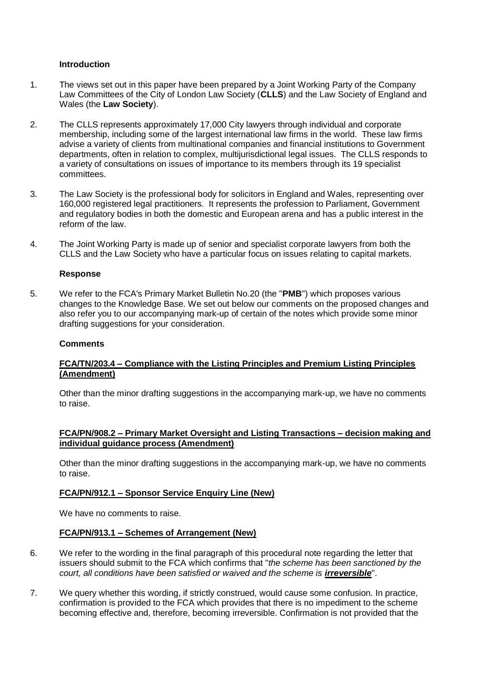## **Introduction**

- 1. The views set out in this paper have been prepared by a Joint Working Party of the Company Law Committees of the City of London Law Society (**CLLS**) and the Law Society of England and Wales (the **Law Society**).
- 2. The CLLS represents approximately 17,000 City lawyers through individual and corporate membership, including some of the largest international law firms in the world. These law firms advise a variety of clients from multinational companies and financial institutions to Government departments, often in relation to complex, multijurisdictional legal issues. The CLLS responds to a variety of consultations on issues of importance to its members through its 19 specialist committees.
- 3. The Law Society is the professional body for solicitors in England and Wales, representing over 160,000 registered legal practitioners. It represents the profession to Parliament, Government and regulatory bodies in both the domestic and European arena and has a public interest in the reform of the law.
- 4. The Joint Working Party is made up of senior and specialist corporate lawyers from both the CLLS and the Law Society who have a particular focus on issues relating to capital markets.

## **Response**

5. We refer to the FCA's Primary Market Bulletin No.20 (the "**PMB**") which proposes various changes to the Knowledge Base. We set out below our comments on the proposed changes and also refer you to our accompanying mark-up of certain of the notes which provide some minor drafting suggestions for your consideration.

#### **Comments**

## **FCA/TN/203.4 – Compliance with the Listing Principles and Premium Listing Principles (Amendment)**

Other than the minor drafting suggestions in the accompanying mark-up, we have no comments to raise.

## **FCA/PN/908.2 – Primary Market Oversight and Listing Transactions – decision making and individual guidance process (Amendment)**

Other than the minor drafting suggestions in the accompanying mark-up, we have no comments to raise.

## **FCA/PN/912.1 – Sponsor Service Enquiry Line (New)**

We have no comments to raise.

## **FCA/PN/913.1 – Schemes of Arrangement (New)**

- 6. We refer to the wording in the final paragraph of this procedural note regarding the letter that issuers should submit to the FCA which confirms that "*the scheme has been sanctioned by the court, all conditions have been satisfied or waived and the scheme is irreversible*".
- 7. We query whether this wording, if strictly construed, would cause some confusion. In practice, confirmation is provided to the FCA which provides that there is no impediment to the scheme becoming effective and, therefore, becoming irreversible. Confirmation is not provided that the